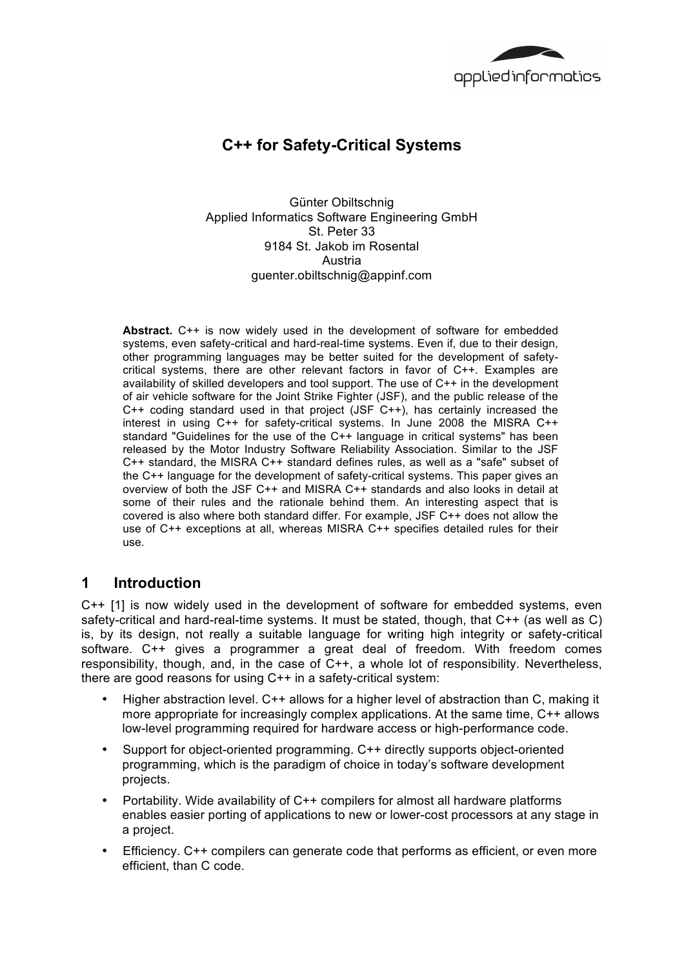

# **C++ for Safety-Critical Systems**

Günter Obiltschnig Applied Informatics Software Engineering GmbH St. Peter 33 9184 St. Jakob im Rosental Austria guenter.obiltschnig@appinf.com

**Abstract.** C++ is now widely used in the development of software for embedded systems, even safety-critical and hard-real-time systems. Even if, due to their design, other programming languages may be better suited for the development of safetycritical systems, there are other relevant factors in favor of C++. Examples are availability of skilled developers and tool support. The use of C++ in the development of air vehicle software for the Joint Strike Fighter (JSF), and the public release of the C++ coding standard used in that project (JSF C++), has certainly increased the interest in using C++ for safety-critical systems. In June 2008 the MISRA C++ standard "Guidelines for the use of the C++ language in critical systems" has been released by the Motor Industry Software Reliability Association. Similar to the JSF C++ standard, the MISRA C++ standard defines rules, as well as a "safe" subset of the C++ language for the development of safety-critical systems. This paper gives an overview of both the JSF C++ and MISRA C++ standards and also looks in detail at some of their rules and the rationale behind them. An interesting aspect that is covered is also where both standard differ. For example, JSF C++ does not allow the use of C++ exceptions at all, whereas MISRA C++ specifies detailed rules for their use.

## **1 Introduction**

C++ [1] is now widely used in the development of software for embedded systems, even safety-critical and hard-real-time systems. It must be stated, though, that C++ (as well as C) is, by its design, not really a suitable language for writing high integrity or safety-critical software. C++ gives a programmer a great deal of freedom. With freedom comes responsibility, though, and, in the case of C++, a whole lot of responsibility. Nevertheless, there are good reasons for using C++ in a safety-critical system:

- Higher abstraction level. C++ allows for a higher level of abstraction than C, making it more appropriate for increasingly complex applications. At the same time, C++ allows low-level programming required for hardware access or high-performance code.
- Support for object-oriented programming. C++ directly supports object-oriented programming, which is the paradigm of choice in today's software development projects.
- Portability. Wide availability of C++ compilers for almost all hardware platforms enables easier porting of applications to new or lower-cost processors at any stage in a project.
- Efficiency. C++ compilers can generate code that performs as efficient, or even more efficient, than C code.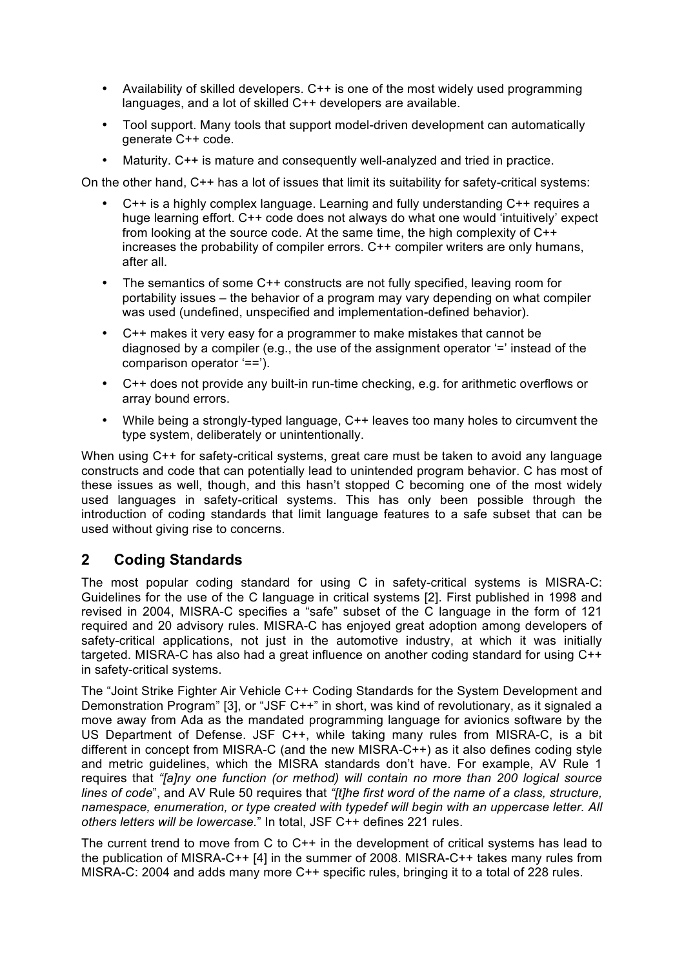- Availability of skilled developers. C++ is one of the most widely used programming languages, and a lot of skilled C++ developers are available.
- Tool support. Many tools that support model-driven development can automatically generate C++ code.
- Maturity. C++ is mature and consequently well-analyzed and tried in practice.

On the other hand, C++ has a lot of issues that limit its suitability for safety-critical systems:

- C++ is a highly complex language. Learning and fully understanding C++ requires a huge learning effort. C++ code does not always do what one would 'intuitively' expect from looking at the source code. At the same time, the high complexity of C++ increases the probability of compiler errors. C++ compiler writers are only humans, after all.
- The semantics of some C++ constructs are not fully specified, leaving room for portability issues – the behavior of a program may vary depending on what compiler was used (undefined, unspecified and implementation-defined behavior).
- C++ makes it very easy for a programmer to make mistakes that cannot be diagnosed by a compiler (e.g., the use of the assignment operator '=' instead of the comparison operator '==').
- C++ does not provide any built-in run-time checking, e.g. for arithmetic overflows or array bound errors.
- While being a strongly-typed language, C++ leaves too many holes to circumvent the type system, deliberately or unintentionally.

When using C++ for safety-critical systems, great care must be taken to avoid any language constructs and code that can potentially lead to unintended program behavior. C has most of these issues as well, though, and this hasn't stopped C becoming one of the most widely used languages in safety-critical systems. This has only been possible through the introduction of coding standards that limit language features to a safe subset that can be used without giving rise to concerns.

## **2 Coding Standards**

The most popular coding standard for using C in safety-critical systems is MISRA-C: Guidelines for the use of the C language in critical systems [2]. First published in 1998 and revised in 2004, MISRA-C specifies a "safe" subset of the C language in the form of 121 required and 20 advisory rules. MISRA-C has enjoyed great adoption among developers of safety-critical applications, not just in the automotive industry, at which it was initially targeted. MISRA-C has also had a great influence on another coding standard for using C++ in safety-critical systems.

The "Joint Strike Fighter Air Vehicle C++ Coding Standards for the System Development and Demonstration Program" [3], or "JSF C++" in short, was kind of revolutionary, as it signaled a move away from Ada as the mandated programming language for avionics software by the US Department of Defense. JSF C++, while taking many rules from MISRA-C, is a bit different in concept from MISRA-C (and the new MISRA-C++) as it also defines coding style and metric guidelines, which the MISRA standards don't have. For example, AV Rule 1 requires that *"[a]ny one function (or method) will contain no more than 200 logical source lines of code*", and AV Rule 50 requires that *"[t]he first word of the name of a class, structure, namespace, enumeration, or type created with typedef will begin with an uppercase letter. All others letters will be lowercase.*" In total, JSF C++ defines 221 rules.

The current trend to move from C to  $C_{++}$  in the development of critical systems has lead to the publication of MISRA-C++ [4] in the summer of 2008. MISRA-C++ takes many rules from MISRA-C: 2004 and adds many more C++ specific rules, bringing it to a total of 228 rules.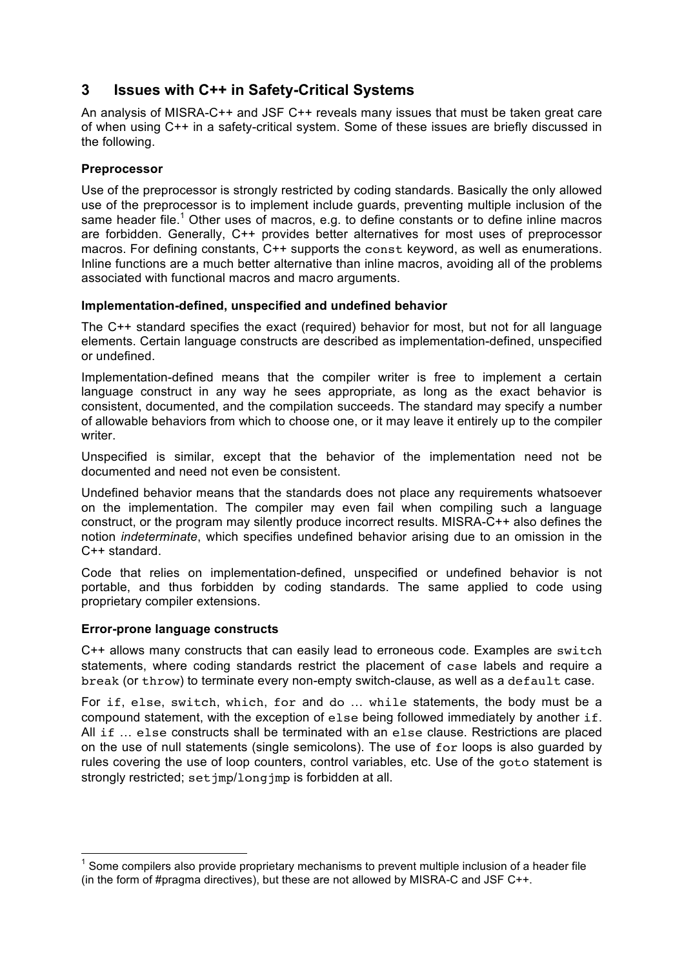# **3 Issues with C++ in Safety-Critical Systems**

An analysis of MISRA-C++ and JSF C++ reveals many issues that must be taken great care of when using C++ in a safety-critical system. Some of these issues are briefly discussed in the following.

#### **Preprocessor**

Use of the preprocessor is strongly restricted by coding standards. Basically the only allowed use of the preprocessor is to implement include guards, preventing multiple inclusion of the same header file.<sup>1</sup> Other uses of macros, e.g. to define constants or to define inline macros are forbidden. Generally, C++ provides better alternatives for most uses of preprocessor macros. For defining constants, C++ supports the const keyword, as well as enumerations. Inline functions are a much better alternative than inline macros, avoiding all of the problems associated with functional macros and macro arguments.

#### **Implementation-defined, unspecified and undefined behavior**

The C++ standard specifies the exact (required) behavior for most, but not for all language elements. Certain language constructs are described as implementation-defined, unspecified or undefined.

Implementation-defined means that the compiler writer is free to implement a certain language construct in any way he sees appropriate, as long as the exact behavior is consistent, documented, and the compilation succeeds. The standard may specify a number of allowable behaviors from which to choose one, or it may leave it entirely up to the compiler writer.

Unspecified is similar, except that the behavior of the implementation need not be documented and need not even be consistent.

Undefined behavior means that the standards does not place any requirements whatsoever on the implementation. The compiler may even fail when compiling such a language construct, or the program may silently produce incorrect results. MISRA-C++ also defines the notion *indeterminate*, which specifies undefined behavior arising due to an omission in the C++ standard.

Code that relies on implementation-defined, unspecified or undefined behavior is not portable, and thus forbidden by coding standards. The same applied to code using proprietary compiler extensions.

#### **Error-prone language constructs**

C++ allows many constructs that can easily lead to erroneous code. Examples are switch statements, where coding standards restrict the placement of case labels and require a break (or throw) to terminate every non-empty switch-clause, as well as a default case.

For if, else, switch, which, for and do … while statements, the body must be a compound statement, with the exception of else being followed immediately by another if. All if … else constructs shall be terminated with an else clause. Restrictions are placed on the use of null statements (single semicolons). The use of for loops is also guarded by rules covering the use of loop counters, control variables, etc. Use of the goto statement is strongly restricted; set imp/longimp is forbidden at all.

**TELEVITHE**<br><sup>1</sup> Some compilers also provide proprietary mechanisms to prevent multiple inclusion of a header file (in the form of #pragma directives), but these are not allowed by MISRA-C and JSF C++.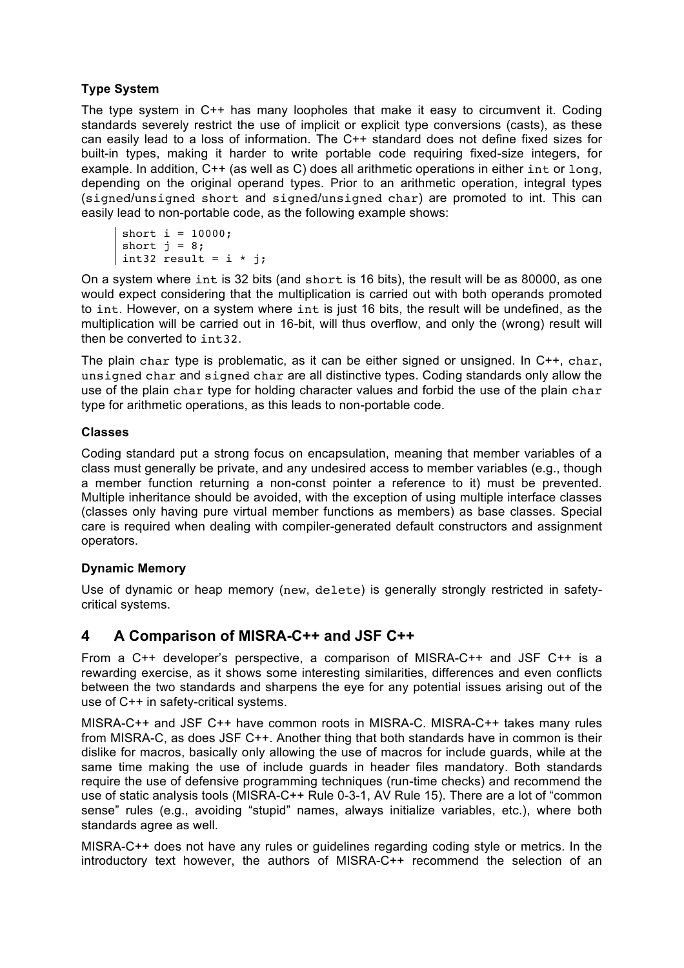#### **Type System**

The type system in C++ has many loopholes that make it easy to circumvent it. Coding standards severely restrict the use of implicit or explicit type conversions (casts), as these can easily lead to a loss of information. The C++ standard does not define fixed sizes for built-in types, making it harder to write portable code requiring fixed-size integers, for example. In addition, C++ (as well as C) does all arithmetic operations in either int or long, depending on the original operand types. Prior to an arithmetic operation, integral types (signed/unsigned short and signed/unsigned char) are promoted to int. This can easily lead to non-portable code, as the following example shows:

```
short i = 10000;
short j = 8;
int32 result = i * j;
```
On a system where int is 32 bits (and short is 16 bits), the result will be as 80000, as one would expect considering that the multiplication is carried out with both operands promoted to int. However, on a system where int is just 16 bits, the result will be undefined, as the multiplication will be carried out in 16-bit, will thus overflow, and only the (wrong) result will then be converted to int32.

The plain char type is problematic, as it can be either signed or unsigned. In C++, char, unsigned char and signed char are all distinctive types. Coding standards only allow the use of the plain char type for holding character values and forbid the use of the plain char type for arithmetic operations, as this leads to non-portable code.

#### **Classes**

Coding standard put a strong focus on encapsulation, meaning that member variables of a class must generally be private, and any undesired access to member variables (e.g., though a member function returning a non-const pointer a reference to it) must be prevented. Multiple inheritance should be avoided, with the exception of using multiple interface classes (classes only having pure virtual member functions as members) as base classes. Special care is required when dealing with compiler-generated default constructors and assignment operators.

#### **Dynamic Memory**

Use of dynamic or heap memory (new, delete) is generally strongly restricted in safetycritical systems.

# **4 A Comparison of MISRA-C++ and JSF C++**

From a C++ developer's perspective, a comparison of MISRA-C++ and JSF C++ is a rewarding exercise, as it shows some interesting similarities, differences and even conflicts between the two standards and sharpens the eye for any potential issues arising out of the use of C++ in safety-critical systems.

MISRA-C++ and JSF C++ have common roots in MISRA-C. MISRA-C++ takes many rules from MISRA-C, as does JSF C++. Another thing that both standards have in common is their dislike for macros, basically only allowing the use of macros for include guards, while at the same time making the use of include guards in header files mandatory. Both standards require the use of defensive programming techniques (run-time checks) and recommend the use of static analysis tools (MISRA-C++ Rule 0-3-1, AV Rule 15). There are a lot of "common sense" rules (e.g., avoiding "stupid" names, always initialize variables, etc.), where both standards agree as well.

MISRA-C++ does not have any rules or guidelines regarding coding style or metrics. In the introductory text however, the authors of MISRA-C++ recommend the selection of an